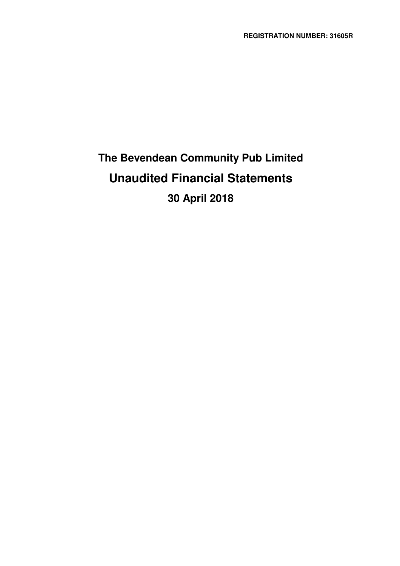# **The Bevendean Community Pub Limited Unaudited Financial Statements 30 April 2018**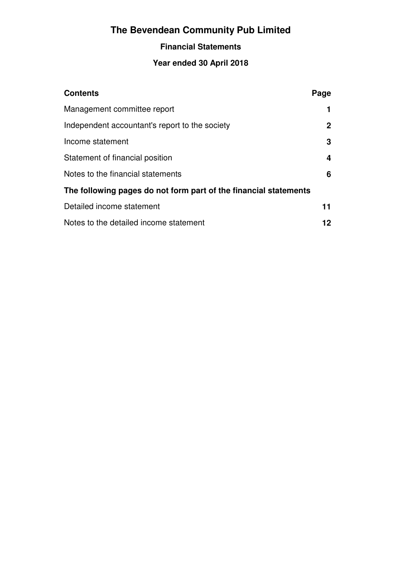## **Financial Statements**

## **Year ended 30 April 2018**

| <b>Contents</b>                                                  | Page         |
|------------------------------------------------------------------|--------------|
| Management committee report                                      |              |
| Independent accountant's report to the society                   | $\mathbf{2}$ |
| Income statement                                                 | 3            |
| Statement of financial position                                  | 4            |
| Notes to the financial statements                                | 6            |
| The following pages do not form part of the financial statements |              |
| Detailed income statement                                        | 11           |
| Notes to the detailed income statement                           | 12           |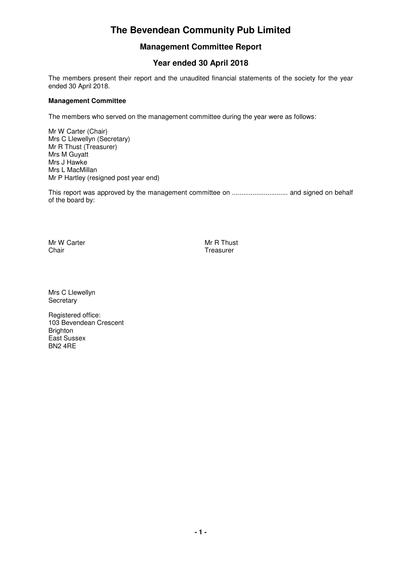### **Management Committee Report**

## **Year ended 30 April 2018**

The members present their report and the unaudited financial statements of the society for the year ended 30 April 2018.

#### **Management Committee**

The members who served on the management committee during the year were as follows:

Mr W Carter (Chair) Mrs C Llewellyn (Secretary) Mr R Thust (Treasurer) Mrs M Guyatt Mrs J Hawke Mrs L MacMillan Mr P Hartley (resigned post year end)

This report was approved by the management committee on .............................. and signed on behalf of the board by:

Mr W Carter **Mr W Carter Chair**<br>Chair **Mr R Thust** Chair

Treasurer

Mrs C Llewellyn **Secretary** 

Registered office: 103 Bevendean Crescent Brighton East Sussex BN2 4RE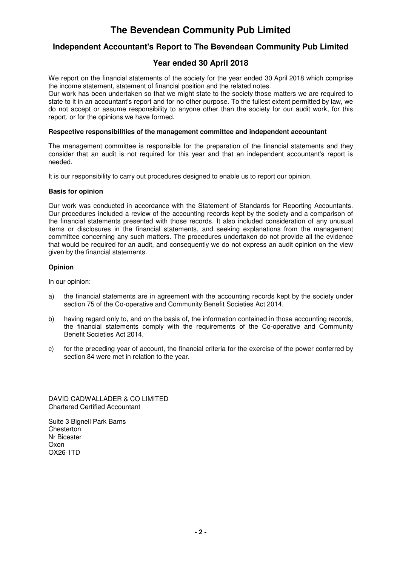### **Independent Accountant's Report to The Bevendean Community Pub Limited**

### **Year ended 30 April 2018**

We report on the financial statements of the society for the year ended 30 April 2018 which comprise the income statement, statement of financial position and the related notes.

Our work has been undertaken so that we might state to the society those matters we are required to state to it in an accountant's report and for no other purpose. To the fullest extent permitted by law, we do not accept or assume responsibility to anyone other than the society for our audit work, for this report, or for the opinions we have formed.

#### **Respective responsibilities of the management committee and independent accountant**

The management committee is responsible for the preparation of the financial statements and they consider that an audit is not required for this year and that an independent accountant's report is needed.

It is our responsibility to carry out procedures designed to enable us to report our opinion.

#### **Basis for opinion**

Our work was conducted in accordance with the Statement of Standards for Reporting Accountants. Our procedures included a review of the accounting records kept by the society and a comparison of the financial statements presented with those records. It also included consideration of any unusual items or disclosures in the financial statements, and seeking explanations from the management committee concerning any such matters. The procedures undertaken do not provide all the evidence that would be required for an audit, and consequently we do not express an audit opinion on the view given by the financial statements.

#### **Opinion**

In our opinion:

- a) the financial statements are in agreement with the accounting records kept by the society under section 75 of the Co-operative and Community Benefit Societies Act 2014.
- b) having regard only to, and on the basis of, the information contained in those accounting records, the financial statements comply with the requirements of the Co-operative and Community Benefit Societies Act 2014.
- c) for the preceding year of account, the financial criteria for the exercise of the power conferred by section 84 were met in relation to the year.

DAVID CADWALLADER & CO LIMITED Chartered Certified Accountant

Suite 3 Bignell Park Barns **Chesterton** Nr Bicester Oxon OX26 1TD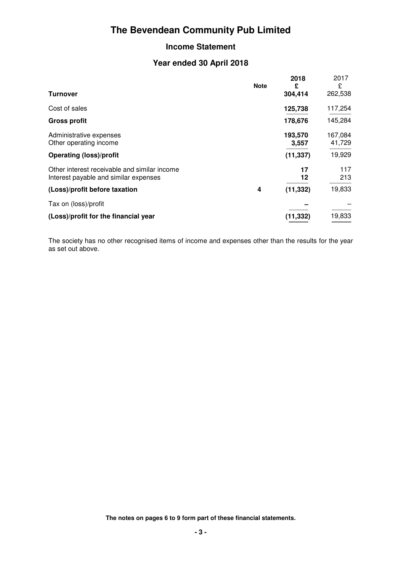### **Income Statement**

### **Year ended 30 April 2018**

|                                                                                       | <b>Note</b> | 2018<br>£        | 2017<br>£         |
|---------------------------------------------------------------------------------------|-------------|------------------|-------------------|
| <b>Turnover</b>                                                                       |             | 304,414          | 262,538           |
| Cost of sales                                                                         |             | 125,738          | 117,254           |
| <b>Gross profit</b>                                                                   |             | 178,676          | 145,284           |
| Administrative expenses<br>Other operating income                                     |             | 193,570<br>3,557 | 167,084<br>41,729 |
| <b>Operating (loss)/profit</b>                                                        |             | (11, 337)        | 19,929            |
| Other interest receivable and similar income<br>Interest payable and similar expenses |             | 17<br>12         | 117<br>213        |
| (Loss)/profit before taxation                                                         | 4           | (11, 332)        | 19,833            |
| Tax on (loss)/profit                                                                  |             |                  |                   |
| (Loss)/profit for the financial year                                                  |             | (11,332)         | 19,833            |

The society has no other recognised items of income and expenses other than the results for the year as set out above.

**The notes on pages 6 to 9 form part of these financial statements.**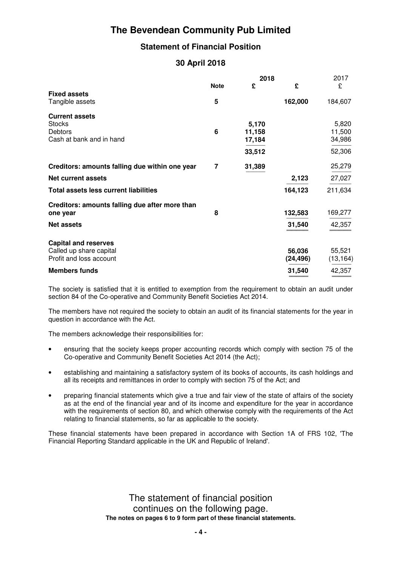## **Statement of Financial Position**

### **30 April 2018**

|                                                                                      |             | 2018                                | 2017               |                                     |
|--------------------------------------------------------------------------------------|-------------|-------------------------------------|--------------------|-------------------------------------|
|                                                                                      | <b>Note</b> | £                                   | £                  | £                                   |
| <b>Fixed assets</b><br>Tangible assets                                               | 5           |                                     | 162,000            | 184,607                             |
| <b>Current assets</b><br><b>Stocks</b><br><b>Debtors</b><br>Cash at bank and in hand | 6           | 5,170<br>11,158<br>17,184<br>33,512 |                    | 5,820<br>11,500<br>34,986<br>52,306 |
| Creditors: amounts falling due within one year                                       | 7           | 31,389                              |                    | 25,279                              |
| <b>Net current assets</b>                                                            |             |                                     | 2,123              | 27,027                              |
| Total assets less current liabilities                                                |             |                                     | 164,123            | 211,634                             |
| Creditors: amounts falling due after more than<br>one year                           | 8           |                                     | 132,583            | 169,277                             |
| <b>Net assets</b>                                                                    |             |                                     | 31,540             | 42,357                              |
| <b>Capital and reserves</b><br>Called up share capital<br>Profit and loss account    |             |                                     | 56,036<br>(24,496) | 55,521<br>(13, 164)                 |
| <b>Members funds</b>                                                                 |             |                                     | 31,540             | 42,357                              |

The society is satisfied that it is entitled to exemption from the requirement to obtain an audit under section 84 of the Co-operative and Community Benefit Societies Act 2014.

The members have not required the society to obtain an audit of its financial statements for the year in question in accordance with the Act.

The members acknowledge their responsibilities for:

- ensuring that the society keeps proper accounting records which comply with section 75 of the Co-operative and Community Benefit Societies Act 2014 (the Act);
- establishing and maintaining a satisfactory system of its books of accounts, its cash holdings and all its receipts and remittances in order to comply with section 75 of the Act; and
- preparing financial statements which give a true and fair view of the state of affairs of the society as at the end of the financial year and of its income and expenditure for the year in accordance with the requirements of section 80, and which otherwise comply with the requirements of the Act relating to financial statements, so far as applicable to the society.

These financial statements have been prepared in accordance with Section 1A of FRS 102, 'The Financial Reporting Standard applicable in the UK and Republic of Ireland'.

> The statement of financial position continues on the following page. **The notes on pages 6 to 9 form part of these financial statements.**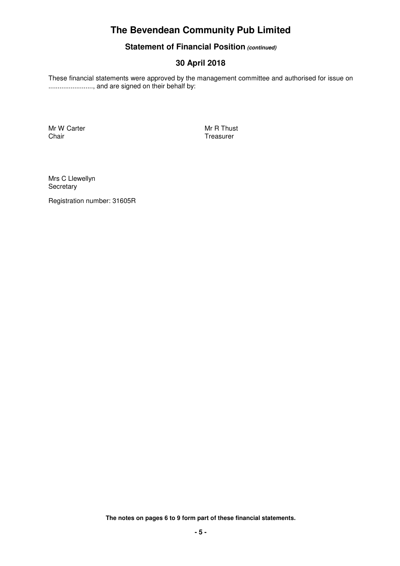### **Statement of Financial Position (continued)**

## **30 April 2018**

These financial statements were approved by the management committee and authorised for issue on ........................, and are signed on their behalf by:

Mr W Carter Manuel Chair Number 2012 19:30 Mr R Thust<br>Chair Treasurer

Treasurer

Mrs C Llewellyn **Secretary** 

Registration number: 31605R

**The notes on pages 6 to 9 form part of these financial statements.**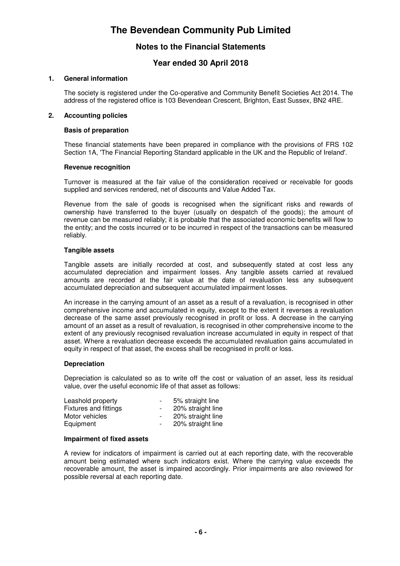### **Notes to the Financial Statements**

### **Year ended 30 April 2018**

#### **1. General information**

The society is registered under the Co-operative and Community Benefit Societies Act 2014. The address of the registered office is 103 Bevendean Crescent, Brighton, East Sussex, BN2 4RE.

#### **2. Accounting policies**

#### **Basis of preparation**

These financial statements have been prepared in compliance with the provisions of FRS 102 Section 1A, 'The Financial Reporting Standard applicable in the UK and the Republic of Ireland'.

#### **Revenue recognition**

Turnover is measured at the fair value of the consideration received or receivable for goods supplied and services rendered, net of discounts and Value Added Tax.

Revenue from the sale of goods is recognised when the significant risks and rewards of ownership have transferred to the buyer (usually on despatch of the goods); the amount of revenue can be measured reliably; it is probable that the associated economic benefits will flow to the entity; and the costs incurred or to be incurred in respect of the transactions can be measured reliably.

#### **Tangible assets**

Tangible assets are initially recorded at cost, and subsequently stated at cost less any accumulated depreciation and impairment losses. Any tangible assets carried at revalued amounts are recorded at the fair value at the date of revaluation less any subsequent accumulated depreciation and subsequent accumulated impairment losses.

An increase in the carrying amount of an asset as a result of a revaluation, is recognised in other comprehensive income and accumulated in equity, except to the extent it reverses a revaluation decrease of the same asset previously recognised in profit or loss. A decrease in the carrying amount of an asset as a result of revaluation, is recognised in other comprehensive income to the extent of any previously recognised revaluation increase accumulated in equity in respect of that asset. Where a revaluation decrease exceeds the accumulated revaluation gains accumulated in equity in respect of that asset, the excess shall be recognised in profit or loss.

#### **Depreciation**

Depreciation is calculated so as to write off the cost or valuation of an asset, less its residual value, over the useful economic life of that asset as follows:

| Leashold property     | $-$                      | 5% straight line  |
|-----------------------|--------------------------|-------------------|
| Fixtures and fittings | $\overline{\phantom{a}}$ | 20% straight line |
| Motor vehicles        |                          | 20% straight line |
| Equipment             | $\sim$                   | 20% straight line |

#### **Impairment of fixed assets**

A review for indicators of impairment is carried out at each reporting date, with the recoverable amount being estimated where such indicators exist. Where the carrying value exceeds the recoverable amount, the asset is impaired accordingly. Prior impairments are also reviewed for possible reversal at each reporting date.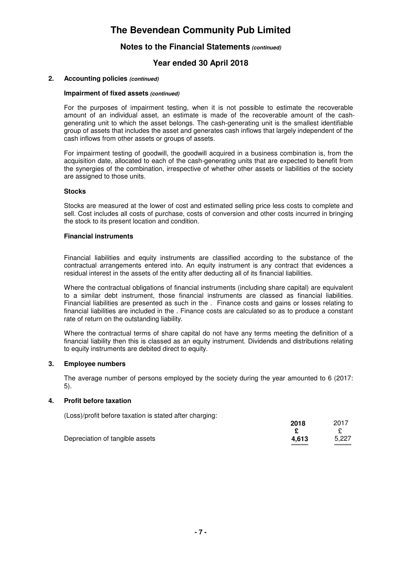### **Notes to the Financial Statements (continued)**

### **Year ended 30 April 2018**

#### **2. Accounting policies (continued)**

#### **Impairment of fixed assets (continued)**

For the purposes of impairment testing, when it is not possible to estimate the recoverable amount of an individual asset, an estimate is made of the recoverable amount of the cashgenerating unit to which the asset belongs. The cash-generating unit is the smallest identifiable group of assets that includes the asset and generates cash inflows that largely independent of the cash inflows from other assets or groups of assets.

For impairment testing of goodwill, the goodwill acquired in a business combination is, from the acquisition date, allocated to each of the cash-generating units that are expected to benefit from the synergies of the combination, irrespective of whether other assets or liabilities of the society are assigned to those units.

#### **Stocks**

Stocks are measured at the lower of cost and estimated selling price less costs to complete and sell. Cost includes all costs of purchase, costs of conversion and other costs incurred in bringing the stock to its present location and condition.

#### **Financial instruments**

Financial liabilities and equity instruments are classified according to the substance of the contractual arrangements entered into. An equity instrument is any contract that evidences a residual interest in the assets of the entity after deducting all of its financial liabilities.

Where the contractual obligations of financial instruments (including share capital) are equivalent to a similar debt instrument, those financial instruments are classed as financial liabilities. Financial liabilities are presented as such in the . Finance costs and gains or losses relating to financial liabilities are included in the . Finance costs are calculated so as to produce a constant rate of return on the outstanding liability.

Where the contractual terms of share capital do not have any terms meeting the definition of a financial liability then this is classed as an equity instrument. Dividends and distributions relating to equity instruments are debited direct to equity.

#### **3. Employee numbers**

The average number of persons employed by the society during the year amounted to 6 (2017: 5).

#### **4. Profit before taxation**

(Loss)/profit before taxation is stated after charging:

|                                 | 2018  | 2017  |
|---------------------------------|-------|-------|
|                                 |       |       |
| Depreciation of tangible assets | 4.613 | 5,227 |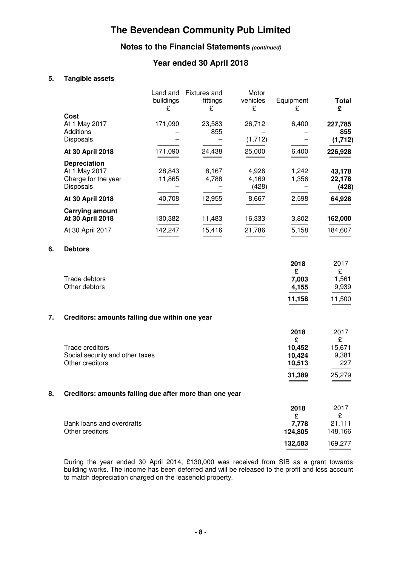## **Notes to the Financial Statements (continued)**

## **Year ended 30 April 2018**

### **5. Tangible assets**

|    |                                                                          | Land and<br>buildings<br>£ | <b>Fixtures and</b><br>fittings<br>£      | Motor<br>vehicles<br>£  | Equipment<br>£                                    | <b>Total</b><br>£                             |
|----|--------------------------------------------------------------------------|----------------------------|-------------------------------------------|-------------------------|---------------------------------------------------|-----------------------------------------------|
|    | Cost<br>At 1 May 2017<br><b>Additions</b><br>Disposals                   | 171,090                    | 23,583<br>855<br>$\overline{\phantom{0}}$ | 26,712<br>(1,712)       | 6,400                                             | 227,785<br>855<br>(1, 712)                    |
|    | At 30 April 2018                                                         | 171,090                    | 24,438                                    | 25,000                  | 6,400                                             | 226,928                                       |
|    | <b>Depreciation</b><br>At 1 May 2017<br>Charge for the year<br>Disposals | 28,843<br>11,865           | 8,167<br>4,788                            | 4,926<br>4,169<br>(428) | 1,242<br>1,356                                    | 43,178<br>22,178<br>(428)                     |
|    | At 30 April 2018                                                         | 40,708                     | 12,955                                    | 8,667                   | 2,598                                             | 64,928                                        |
|    | <b>Carrying amount</b><br>At 30 April 2018<br>At 30 April 2017           | 130,382<br>142,247         | 11,483<br>15,416                          | 16,333<br>21,786        | 3,802<br>5,158                                    | 162,000<br>184,607                            |
| 6. | <b>Debtors</b>                                                           |                            |                                           |                         |                                                   |                                               |
|    | Trade debtors<br>Other debtors                                           |                            |                                           |                         | 2018<br>£<br>7,003<br>4,155<br>11,158             | 2017<br>£<br>1,561<br>9,939<br>11,500         |
| 7. | Creditors: amounts falling due within one year                           |                            |                                           |                         |                                                   |                                               |
|    | Trade creditors<br>Social security and other taxes<br>Other creditors    |                            |                                           |                         | 2018<br>£<br>10,452<br>10,424<br>10,513<br>31,389 | 2017<br>£<br>15,671<br>9,381<br>227<br>25,279 |
| 8. | Creditors: amounts falling due after more than one year                  |                            |                                           |                         |                                                   |                                               |
|    | Bank loans and overdrafts<br>Other creditors                             |                            |                                           |                         | 2018<br>£<br>7,778<br>124,805                     | 2017<br>£<br>21,111<br>148,166                |
|    |                                                                          |                            |                                           |                         | 132,583                                           | 169,277                                       |

During the year ended 30 April 2014, £130,000 was received from SIB as a grant towards building works. The income has been deferred and will be released to the profit and loss account to match depreciation charged on the leasehold property.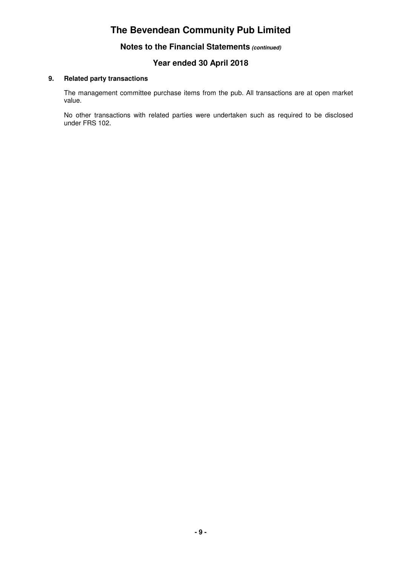**Notes to the Financial Statements (continued)**

### **Year ended 30 April 2018**

#### **9. Related party transactions**

The management committee purchase items from the pub. All transactions are at open market value.

No other transactions with related parties were undertaken such as required to be disclosed under FRS 102.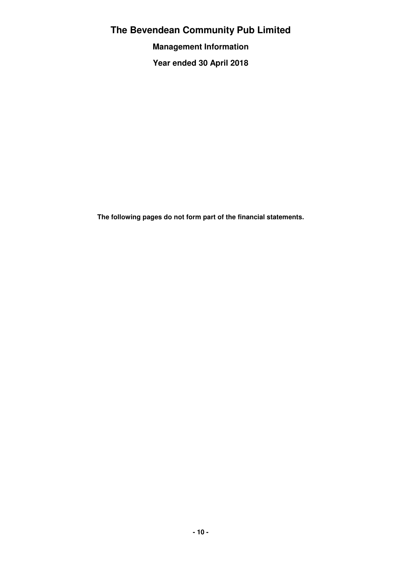**Management Information**

**Year ended 30 April 2018**

**The following pages do not form part of the financial statements.**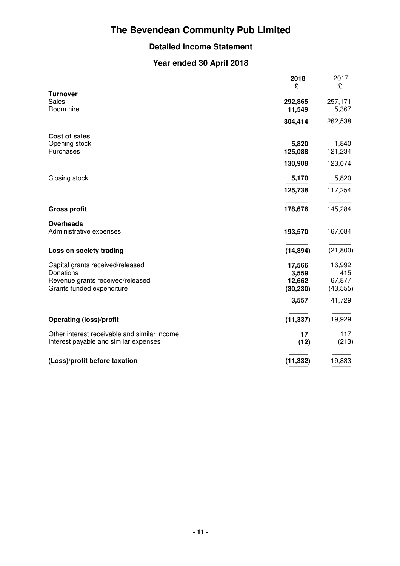## **Detailed Income Statement**

## **Year ended 30 April 2018**

|                                              | 2018<br>£ | 2017<br>£ |
|----------------------------------------------|-----------|-----------|
| <b>Turnover</b><br><b>Sales</b>              | 292,865   | 257,171   |
| Room hire                                    | 11,549    | 5,367     |
|                                              | 304,414   | 262,538   |
| Cost of sales                                |           |           |
| Opening stock                                | 5,820     | 1,840     |
| Purchases                                    | 125,088   | 121,234   |
|                                              | 130,908   | 123,074   |
| Closing stock                                | 5,170     | 5,820     |
|                                              | 125,738   | 117,254   |
| <b>Gross profit</b>                          | 178,676   | 145,284   |
| <b>Overheads</b><br>Administrative expenses  | 193,570   | 167,084   |
| Loss on society trading                      | (14, 894) | (21, 800) |
| Capital grants received/released             | 17,566    | 16,992    |
| Donations                                    | 3,559     | 415       |
| Revenue grants received/released             | 12,662    | 67,877    |
| Grants funded expenditure                    | (30, 230) | (43, 555) |
|                                              | 3,557     | 41,729    |
| <b>Operating (loss)/profit</b>               | (11, 337) | 19,929    |
| Other interest receivable and similar income | 17        | 117       |
| Interest payable and similar expenses        | (12)      | (213)     |
| (Loss)/profit before taxation                | (11, 332) | 19,833    |